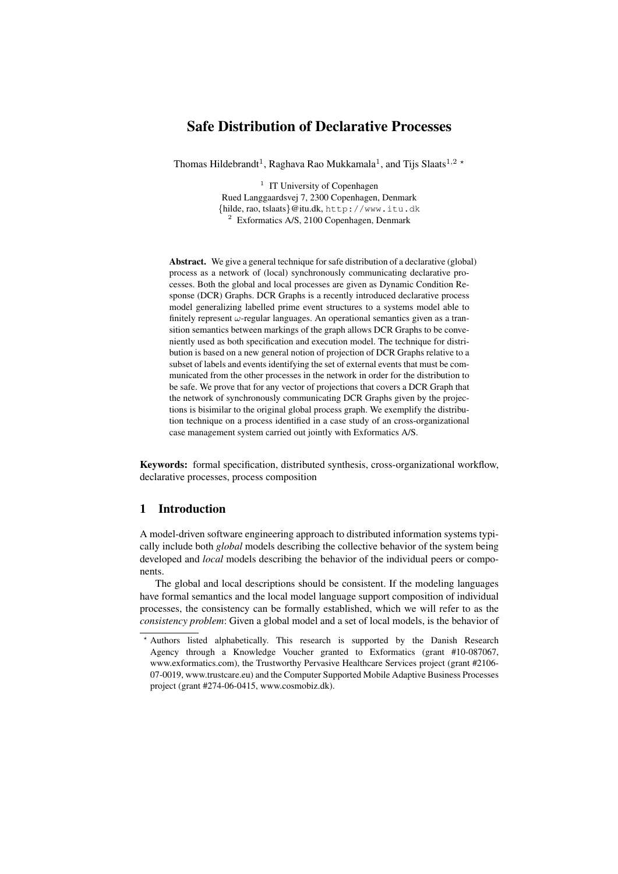# Safe Distribution of Declarative Processes

Thomas Hildebrandt<sup>1</sup>, Raghava Rao Mukkamala<sup>1</sup>, and Tijs Slaats<sup>1,2</sup> \*

<sup>1</sup> IT University of Copenhagen Rued Langgaardsvej 7, 2300 Copenhagen, Denmark {hilde, rao, tslaats}@itu.dk, http://www.itu.dk <sup>2</sup> Exformatics A/S, 2100 Copenhagen, Denmark

Abstract. We give a general technique for safe distribution of a declarative (global) process as a network of (local) synchronously communicating declarative processes. Both the global and local processes are given as Dynamic Condition Response (DCR) Graphs. DCR Graphs is a recently introduced declarative process model generalizing labelled prime event structures to a systems model able to finitely represent  $\omega$ -regular languages. An operational semantics given as a transition semantics between markings of the graph allows DCR Graphs to be conveniently used as both specification and execution model. The technique for distribution is based on a new general notion of projection of DCR Graphs relative to a subset of labels and events identifying the set of external events that must be communicated from the other processes in the network in order for the distribution to be safe. We prove that for any vector of projections that covers a DCR Graph that the network of synchronously communicating DCR Graphs given by the projections is bisimilar to the original global process graph. We exemplify the distribution technique on a process identified in a case study of an cross-organizational case management system carried out jointly with Exformatics A/S.

Keywords: formal specification, distributed synthesis, cross-organizational workflow, declarative processes, process composition

## 1 Introduction

A model-driven software engineering approach to distributed information systems typically include both *global* models describing the collective behavior of the system being developed and *local* models describing the behavior of the individual peers or components.

The global and local descriptions should be consistent. If the modeling languages have formal semantics and the local model language support composition of individual processes, the consistency can be formally established, which we will refer to as the *consistency problem*: Given a global model and a set of local models, is the behavior of

<sup>?</sup> Authors listed alphabetically. This research is supported by the Danish Research Agency through a Knowledge Voucher granted to Exformatics (grant #10-087067, www.exformatics.com), the Trustworthy Pervasive Healthcare Services project (grant #2106- 07-0019, www.trustcare.eu) and the Computer Supported Mobile Adaptive Business Processes project (grant #274-06-0415, www.cosmobiz.dk).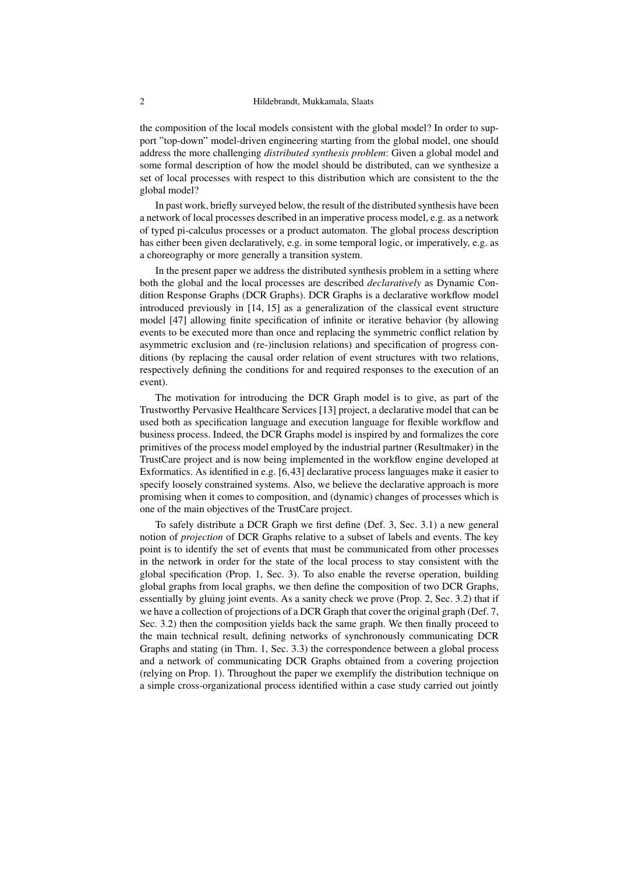the composition of the local models consistent with the global model? In order to support "top-down" model-driven engineering starting from the global model, one should address the more challenging *distributed synthesis problem*: Given a global model and some formal description of how the model should be distributed, can we synthesize a set of local processes with respect to this distribution which are consistent to the the global model?

In past work, briefly surveyed below, the result of the distributed synthesis have been a network of local processes described in an imperative process model, e.g. as a network of typed pi-calculus processes or a product automaton. The global process description has either been given declaratively, e.g. in some temporal logic, or imperatively, e.g. as a choreography or more generally a transition system.

In the present paper we address the distributed synthesis problem in a setting where both the global and the local processes are described *declaratively* as Dynamic Condition Response Graphs (DCR Graphs). DCR Graphs is a declarative workflow model introduced previously in [14, 15] as a generalization of the classical event structure model [47] allowing finite specification of infinite or iterative behavior (by allowing events to be executed more than once and replacing the symmetric conflict relation by asymmetric exclusion and (re-)inclusion relations) and specification of progress conditions (by replacing the causal order relation of event structures with two relations, respectively defining the conditions for and required responses to the execution of an event).

The motivation for introducing the DCR Graph model is to give, as part of the Trustworthy Pervasive Healthcare Services [13] project, a declarative model that can be used both as specification language and execution language for flexible workflow and business process. Indeed, the DCR Graphs model is inspired by and formalizes the core primitives of the process model employed by the industrial partner (Resultmaker) in the TrustCare project and is now being implemented in the workflow engine developed at Exformatics. As identified in e.g. [6,43] declarative process languages make it easier to specify loosely constrained systems. Also, we believe the declarative approach is more promising when it comes to composition, and (dynamic) changes of processes which is one of the main objectives of the TrustCare project.

To safely distribute a DCR Graph we first define (Def. 3, Sec. 3.1) a new general notion of *projection* of DCR Graphs relative to a subset of labels and events. The key point is to identify the set of events that must be communicated from other processes in the network in order for the state of the local process to stay consistent with the global specification (Prop. 1, Sec. 3). To also enable the reverse operation, building global graphs from local graphs, we then define the composition of two DCR Graphs, essentially by gluing joint events. As a sanity check we prove (Prop. 2, Sec. 3.2) that if we have a collection of projections of a DCR Graph that cover the original graph (Def. 7, Sec. 3.2) then the composition yields back the same graph. We then finally proceed to the main technical result, defining networks of synchronously communicating DCR Graphs and stating (in Thm. 1, Sec. 3.3) the correspondence between a global process and a network of communicating DCR Graphs obtained from a covering projection (relying on Prop. 1). Throughout the paper we exemplify the distribution technique on a simple cross-organizational process identified within a case study carried out jointly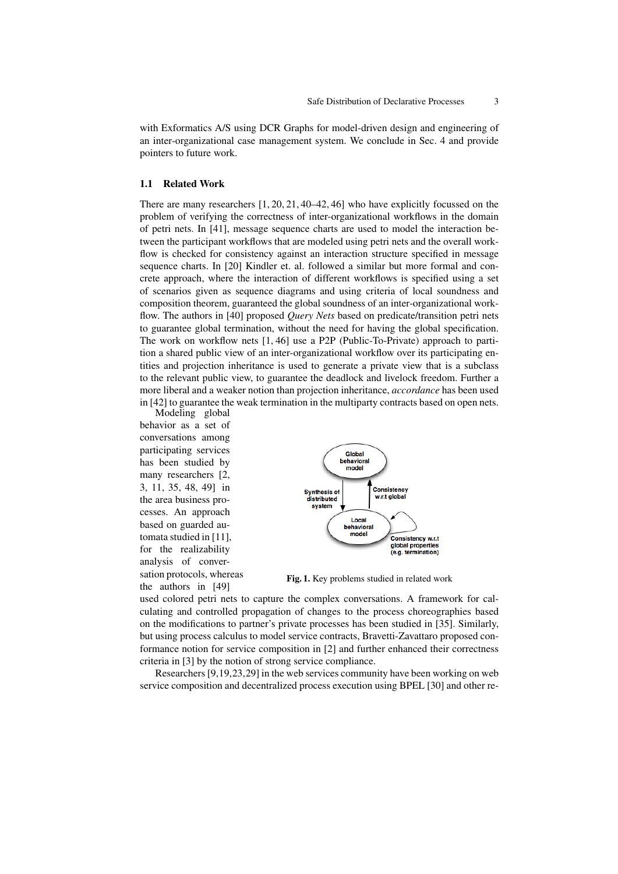with Exformatics A/S using DCR Graphs for model-driven design and engineering of an inter-organizational case management system. We conclude in Sec. 4 and provide pointers to future work.

#### 1.1 Related Work

There are many researchers [1, 20, 21, 40–42, 46] who have explicitly focussed on the problem of verifying the correctness of inter-organizational workflows in the domain of petri nets. In [41], message sequence charts are used to model the interaction between the participant workflows that are modeled using petri nets and the overall workflow is checked for consistency against an interaction structure specified in message sequence charts. In [20] Kindler et. al. followed a similar but more formal and concrete approach, where the interaction of different workflows is specified using a set of scenarios given as sequence diagrams and using criteria of local soundness and composition theorem, guaranteed the global soundness of an inter-organizational workflow. The authors in [40] proposed *Query Nets* based on predicate/transition petri nets to guarantee global termination, without the need for having the global specification. The work on workflow nets [1, 46] use a P2P (Public-To-Private) approach to partition a shared public view of an inter-organizational workflow over its participating entities and projection inheritance is used to generate a private view that is a subclass to the relevant public view, to guarantee the deadlock and livelock freedom. Further a more liberal and a weaker notion than projection inheritance, *accordance* has been used in [42] to guarantee the weak termination in the multiparty contracts based on open nets.

Modeling global behavior as a set of conversations among participating services has been studied by many researchers [2, 3, 11, 35, 48, 49] in the area business processes. An approach based on guarded automata studied in [11], for the realizability analysis of conversation protocols, whereas the authors in [49]



Fig. 1. Key problems studied in related work

used colored petri nets to capture the complex conversations. A framework for calculating and controlled propagation of changes to the process choreographies based on the modifications to partner's private processes has been studied in [35]. Similarly, but using process calculus to model service contracts, Bravetti-Zavattaro proposed conformance notion for service composition in [2] and further enhanced their correctness criteria in [3] by the notion of strong service compliance.

Researchers [9,19,23,29] in the web services community have been working on web service composition and decentralized process execution using BPEL [30] and other re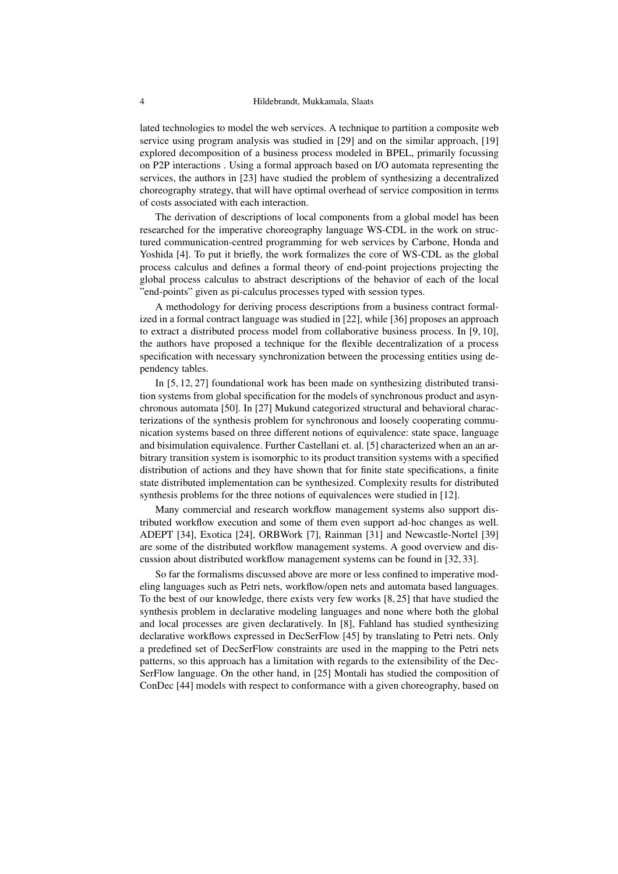lated technologies to model the web services. A technique to partition a composite web service using program analysis was studied in [29] and on the similar approach, [19] explored decomposition of a business process modeled in BPEL, primarily focussing on P2P interactions . Using a formal approach based on I/O automata representing the services, the authors in [23] have studied the problem of synthesizing a decentralized choreography strategy, that will have optimal overhead of service composition in terms of costs associated with each interaction.

The derivation of descriptions of local components from a global model has been researched for the imperative choreography language WS-CDL in the work on structured communication-centred programming for web services by Carbone, Honda and Yoshida [4]. To put it briefly, the work formalizes the core of WS-CDL as the global process calculus and defines a formal theory of end-point projections projecting the global process calculus to abstract descriptions of the behavior of each of the local "end-points" given as pi-calculus processes typed with session types.

A methodology for deriving process descriptions from a business contract formalized in a formal contract language was studied in [22], while [36] proposes an approach to extract a distributed process model from collaborative business process. In [9, 10], the authors have proposed a technique for the flexible decentralization of a process specification with necessary synchronization between the processing entities using dependency tables.

In [5, 12, 27] foundational work has been made on synthesizing distributed transition systems from global specification for the models of synchronous product and asynchronous automata [50]. In [27] Mukund categorized structural and behavioral characterizations of the synthesis problem for synchronous and loosely cooperating communication systems based on three different notions of equivalence: state space, language and bisimulation equivalence. Further Castellani et. al. [5] characterized when an an arbitrary transition system is isomorphic to its product transition systems with a specified distribution of actions and they have shown that for finite state specifications, a finite state distributed implementation can be synthesized. Complexity results for distributed synthesis problems for the three notions of equivalences were studied in [12].

Many commercial and research workflow management systems also support distributed workflow execution and some of them even support ad-hoc changes as well. ADEPT [34], Exotica [24], ORBWork [7], Rainman [31] and Newcastle-Nortel [39] are some of the distributed workflow management systems. A good overview and discussion about distributed workflow management systems can be found in [32, 33].

So far the formalisms discussed above are more or less confined to imperative modeling languages such as Petri nets, workflow/open nets and automata based languages. To the best of our knowledge, there exists very few works [8, 25] that have studied the synthesis problem in declarative modeling languages and none where both the global and local processes are given declaratively. In [8], Fahland has studied synthesizing declarative workflows expressed in DecSerFlow [45] by translating to Petri nets. Only a predefined set of DecSerFlow constraints are used in the mapping to the Petri nets patterns, so this approach has a limitation with regards to the extensibility of the Dec-SerFlow language. On the other hand, in [25] Montali has studied the composition of ConDec [44] models with respect to conformance with a given choreography, based on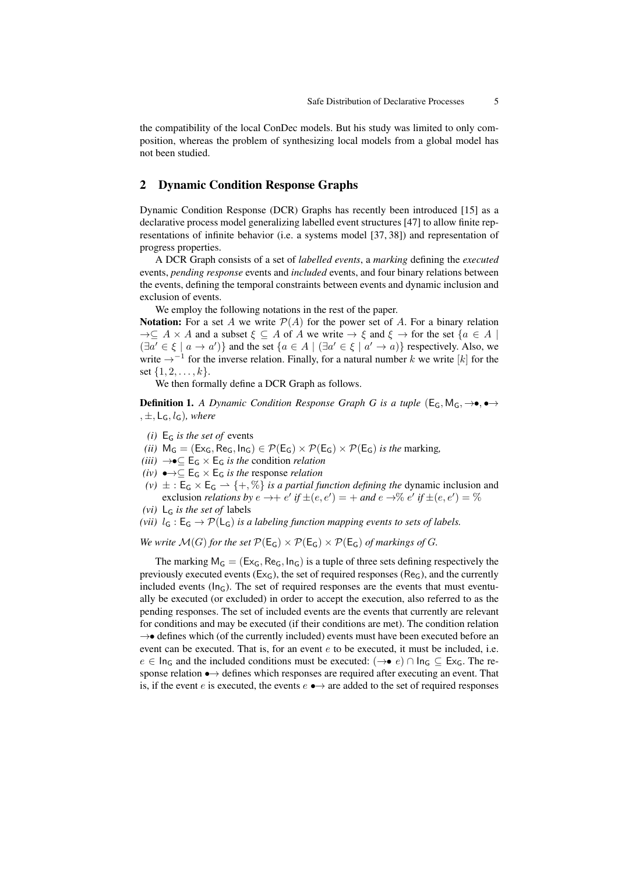the compatibility of the local ConDec models. But his study was limited to only composition, whereas the problem of synthesizing local models from a global model has not been studied.

### 2 Dynamic Condition Response Graphs

Dynamic Condition Response (DCR) Graphs has recently been introduced [15] as a declarative process model generalizing labelled event structures [47] to allow finite representations of infinite behavior (i.e. a systems model [37, 38]) and representation of progress properties.

A DCR Graph consists of a set of *labelled events*, a *marking* defining the *executed* events, *pending response* events and *included* events, and four binary relations between the events, defining the temporal constraints between events and dynamic inclusion and exclusion of events.

We employ the following notations in the rest of the paper.

**Notation:** For a set A we write  $\mathcal{P}(A)$  for the power set of A. For a binary relation  $\rightarrow \subseteq A \times A$  and a subset  $\xi \subseteq A$  of A we write  $\rightarrow \xi$  and  $\xi \rightarrow$  for the set  $\{a \in A \mid A \neq \emptyset\}$  $(\exists a' \in \xi \mid a \to a')\}$  and the set  $\{a \in A \mid (\exists a' \in \xi \mid a' \to a)\}\$  respectively. Also, we write  $\rightarrow^{-1}$  for the inverse relation. Finally, for a natural number k we write [k] for the set  $\{1, 2, \ldots, k\}.$ 

We then formally define a DCR Graph as follows.

**Definition 1.** *A Dynamic Condition Response Graph G is a tuple* ( $E_G, M_G, \rightarrow \bullet, \bullet \rightarrow$  $, \pm, L_G, l_G$ *), where* 

 $(i)$  E<sub>G</sub> *is the set of* events

*(ii)*  $M_G = (Ex_G, Re_G, In_G) \in \mathcal{P}(E_G) \times \mathcal{P}(E_G) \times \mathcal{P}(E_G)$  *is the marking,* 

- $(iii)$  → $\bullet$ ⊆ E<sub>G</sub> × E<sub>G</sub> *is the* condition *relation*
- $(iv)$   $\rightarrow \subseteq E_G \times E_G$  *is the response relation*
- $(v) \pm : E_G \times E_G \rightarrow \{+, \% \}$  *is a partial function defining the dynamic inclusion and* exclusion *relations* by  $e \rightarrow + e'$  if  $\pm(e, e') = +$  and  $e \rightarrow \% e'$  if  $\pm(e, e') = \%$
- $(vi)$   $\mathsf{L}_G$  *is the set of* labels
- *(vii)*  $l_G : E_G \to \mathcal{P}(L_G)$  *is a labeling function mapping events to sets of labels.*

*We write*  $\mathcal{M}(G)$  *for the set*  $\mathcal{P}(E_G) \times \mathcal{P}(E_G) \times \mathcal{P}(E_G)$  *of markings of G.* 

The marking  $M_G = (Ex_G, Re_G, In_G)$  is a tuple of three sets defining respectively the previously executed events ( $Ex<sub>G</sub>$ ), the set of required responses ( $Re<sub>G</sub>$ ), and the currently included events ( $\ln_{G}$ ). The set of required responses are the events that must eventually be executed (or excluded) in order to accept the execution, also referred to as the pending responses. The set of included events are the events that currently are relevant for conditions and may be executed (if their conditions are met). The condition relation  $\rightarrow$ • defines which (of the currently included) events must have been executed before an event can be executed. That is, for an event  $e$  to be executed, it must be included, i.e.  $e \in \text{In}_G$  and the included conditions must be executed:  $(\rightarrow \bullet e) \cap \text{In}_G \subseteq \text{Ex}_G$ . The response relation  $\rightarrow$  defines which responses are required after executing an event. That is, if the event e is executed, the events  $e \rightarrow \text{are added to the set of required responses}$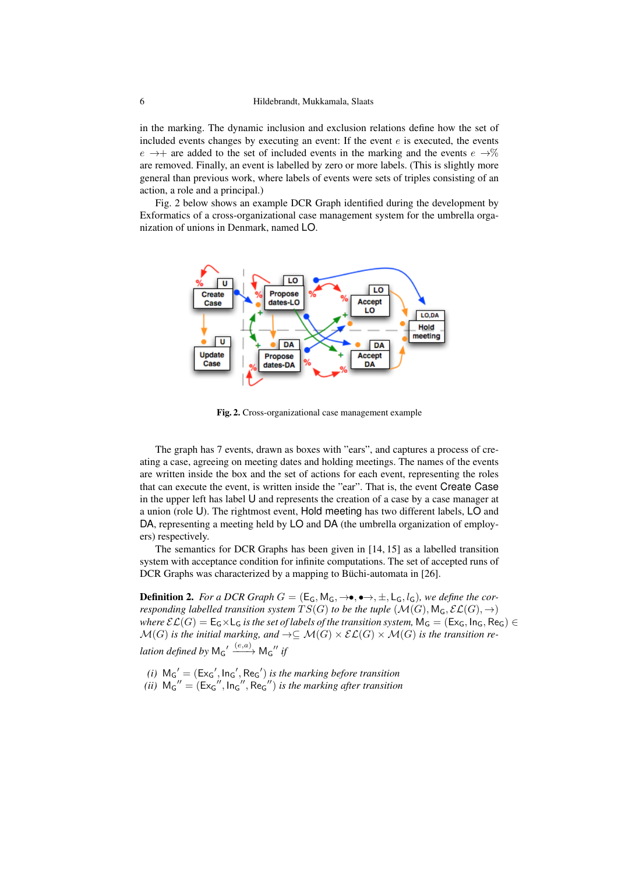in the marking. The dynamic inclusion and exclusion relations define how the set of included events changes by executing an event: If the event  $e$  is executed, the events  $e \rightarrow +$  are added to the set of included events in the marking and the events  $e \rightarrow \%$ are removed. Finally, an event is labelled by zero or more labels. (This is slightly more general than previous work, where labels of events were sets of triples consisting of an action, a role and a principal.)

Fig. 2 below shows an example DCR Graph identified during the development by Exformatics of a cross-organizational case management system for the umbrella organization of unions in Denmark, named LO.



Fig. 2. Cross-organizational case management example

The graph has 7 events, drawn as boxes with "ears", and captures a process of creating a case, agreeing on meeting dates and holding meetings. The names of the events are written inside the box and the set of actions for each event, representing the roles that can execute the event, is written inside the "ear". That is, the event Create Case in the upper left has label  $U$  and represents the creation of a case by a case manager at a union (role U). The rightmost event, Hold meeting has two different labels, LO and DA, representing a meeting held by LO and DA (the umbrella organization of employers) respectively.

The semantics for DCR Graphs has been given in [14, 15] as a labelled transition system with acceptance condition for infinite computations. The set of accepted runs of DCR Graphs was characterized by a mapping to Büchi-automata in [26].

**Definition 2.** For a DCR Graph  $G = (E_G, M_G, \rightarrow \bullet, \bullet \rightarrow, \pm, L_G, l_G)$ *, we define the corresponding labelled transition system*  $TS(G)$  *to be the tuple*  $(M(G), \mathsf{M}_{\mathsf{G}}, \mathcal{EL}(G), \rightarrow)$ *where*  $\mathcal{EL}(G) = \mathsf{E}_\mathsf{G} \times \mathsf{L}_\mathsf{G}$  *is the set of labels of the transition system*,  $\mathsf{M}_\mathsf{G} = (\mathsf{Ex}_\mathsf{G}, \mathsf{In}_\mathsf{G}, \mathsf{Re}_\mathsf{G}) \in$  $\mathcal{M}(G)$  *is the initial marking, and*  $\to \subseteq \mathcal{M}(G) \times \mathcal{EL}(G) \times \mathcal{M}(G)$  *is the transition relation defined by*  $M_G' \xrightarrow{(e,a)} M_G''$  *if* 

- (*i*)  $M_G' = (Ex_G', In_G', Re_G')$  *is the marking before transition*
- (*ii*)  $M_G'' = (Ex_G'', In_G'', Re_G'')$  *is the marking after transition*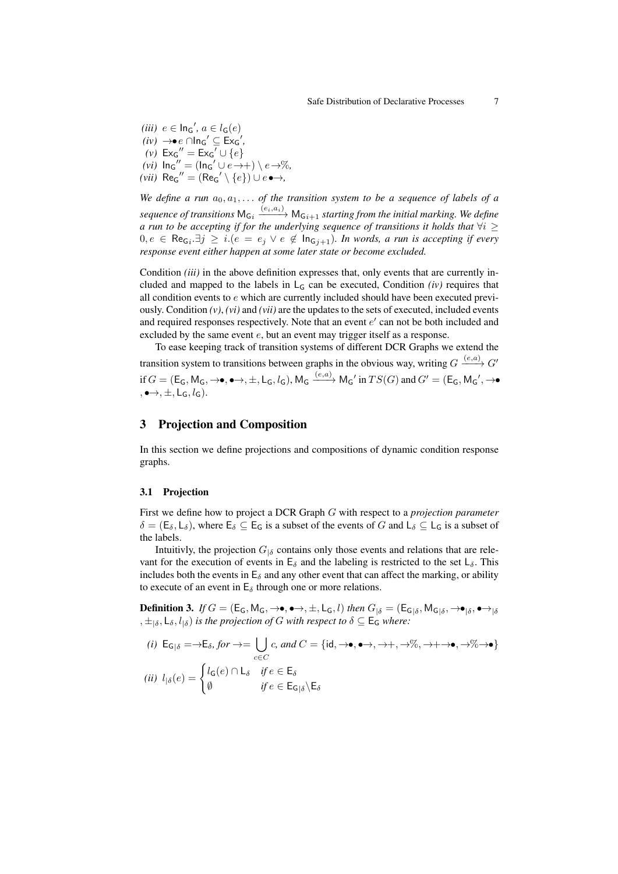$(iii)$   $e \in \mathsf{In}_{\mathsf{G}}'$ ,  $a \in l_{\mathsf{G}}(e)$  $(iv) \rightarrow e e \cap \ln_{G}^{\prime} \subseteq Ex_{G}^{\prime}$  $(v)$  Ex<sub>G</sub>" = Ex<sub>G</sub>'  $\cup$  {*e*}  $(vi)$   $\ln_{\mathsf{G}}'' = (\ln_{\mathsf{G}}' \cup e \rightarrow +) \setminus e \rightarrow \%$ ,  $(vii)$  Re<sub>G</sub>" = (Re<sub>G</sub>' \{e}) ∪ e•→*,* 

*We define a run*  $a_0, a_1, \ldots$  *of the transition system to be a sequence of labels of a* sequence of transitions  $\mathsf{M}_{\mathsf{G}i} \xrightarrow{(e_i,a_i)} \mathsf{M}_{\mathsf{G}i+1}$  starting from the initial marking. We define *a run to be accepting if for the underlying sequence of transitions it holds that*  $\forall i$  > 0,  $e \in \mathsf{Re}_{\mathsf{G}i}$ .  $\exists j \geq i. (e = e_j \vee e \notin \mathsf{In}_{\mathsf{G}j+1})$ *. In words, a run is accepting if every response event either happen at some later state or become excluded.*

Condition *(iii)* in the above definition expresses that, only events that are currently included and mapped to the labels in  $L<sub>G</sub>$  can be executed, Condition *(iv)* requires that all condition events to  $e$  which are currently included should have been executed previously. Condition *(v)*, *(vi)* and *(vii)* are the updates to the sets of executed, included events and required responses respectively. Note that an event  $e'$  can not be both included and excluded by the same event  $e$ , but an event may trigger itself as a response.

To ease keeping track of transition systems of different DCR Graphs we extend the transition system to transitions between graphs in the obvious way, writing  $G \xrightarrow{(e,a)} G'$ if  $G = (\mathsf{E}_{\mathsf{G}}, \mathsf{M}_{\mathsf{G}}, \rightarrow\bullet, \bullet\rightarrow, \pm, \mathsf{L}_{\mathsf{G}}, l_{\mathsf{G}})$ ,  $\mathsf{M}_{\mathsf{G}} \xrightarrow{(e,a)} \mathsf{M}_{\mathsf{G}}'$  in  $TS(G)$  and  $G' = (\mathsf{E}_{\mathsf{G}}, \mathsf{M}_{\mathsf{G}}', \rightarrow\bullet$  $, \bullet \rightarrow, \pm, L_G, l_G$ ).

# 3 Projection and Composition

In this section we define projections and compositions of dynamic condition response graphs.

#### 3.1 Projection

First we define how to project a DCR Graph G with respect to a *projection parameter*  $\delta = (E_{\delta}, L_{\delta})$ , where  $E_{\delta} \subseteq E_{\delta}$  is a subset of the events of G and  $L_{\delta} \subseteq L_{\delta}$  is a subset of the labels.

Intuitivly, the projection  $G_{\delta}$  contains only those events and relations that are relevant for the execution of events in  $E_{\delta}$  and the labeling is restricted to the set  $L_{\delta}$ . This includes both the events in  $E_{\delta}$  and any other event that can affect the marking, or ability to execute of an event in  $E_{\delta}$  through one or more relations.

**Definition 3.** If  $G=(\mathsf{E}_{\mathsf{G}},\mathsf{M}_{\mathsf{G}}, \to\bullet, \bullet\to, \pm, \mathsf{L}_{\mathsf{G}}, l)$  then  $G_{|\delta}=(\mathsf{E}_{\mathsf{G}|\delta},\mathsf{M}_{\mathsf{G}|\delta},\to\bullet_{|\delta}, \bullet\to_{|\delta}$  $, \pm_{\delta}, \pm_{\delta}, l_{\delta}$  *is the projection of G with respect to*  $\delta \subseteq E_G$  *where:* 

(i) 
$$
E_{G|\delta} = \rightarrow E_{\delta}
$$
, for  $\rightarrow = \bigcup_{c \in C} c$ , and  $C = \{\text{id}, \rightarrow \bullet, \bullet \rightarrow, \rightarrow +, \rightarrow\% \rightarrow + \rightarrow \bullet, \rightarrow\% \rightarrow \bullet\}$   
\n(ii)  $l_{|\delta}(e) = \begin{cases} l_G(e) \cap L_{\delta} & \text{if } e \in E_{\delta} \\ \emptyset & \text{if } e \in E_{G|\delta} \setminus E_{\delta} \end{cases}$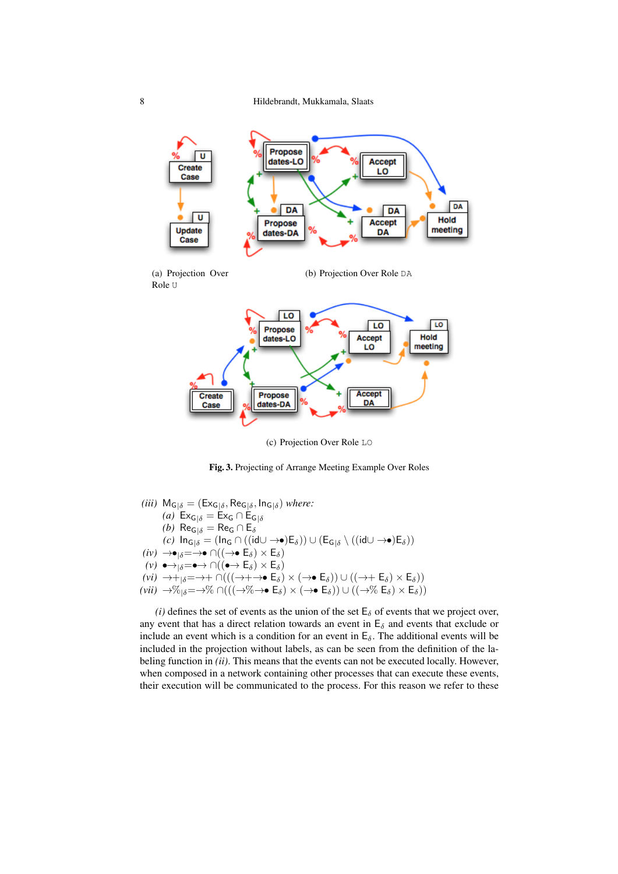

(c) Projection Over Role LO

Fig. 3. Projecting of Arrange Meeting Example Over Roles

(*iii*)  $M_{G|\delta} = (Ex_{G|\delta}, Re_{G|\delta}, In_{G|\delta})$  *where: (a)*  $Ex_{G|\delta} = Ex_G \cap E_{G|\delta}$ *(b)*  $\text{Re}_\mathsf{G|\delta} = \text{Re}_\mathsf{G} \cap \mathsf{E}_\delta$ *(c)*  $\ln_{G|\delta}$  = ( $\ln_G \cap ((id \cup \rightarrow \bullet)E_{\delta}))$  ∪ ( $E_{G|\delta} \setminus ((id \cup \rightarrow \bullet)E_{\delta})$ )  $(iv) \rightarrow ∘_{|\delta} = → \bullet \cap ((\rightarrow \bullet \mathsf{E}_{\delta}) \times \mathsf{E}_{\delta})$  $(\nu)$   $\bullet \rightarrow_{|\delta} = \bullet \rightarrow \cap ((\bullet \rightarrow \mathsf{E}_{\delta}) \times \mathsf{E}_{\delta})$  $(vi)\rightarrow_{\dagger|\delta}=\rightarrow+\cap((\left(\rightarrow+\rightarrow\bullet\text{ E}_{\delta}\right)\times\left(\rightarrow\bullet\text{ E}_{\delta}\right))\cup\left(\left(\rightarrow+\text{ E}_{\delta}\right)\times\text{ E}_{\delta}\right))$  $(vii)\ \rightarrow \%\ \gamma_\delta = \rightarrow \%\ \cap (((\rightarrow\%\ \rightarrow\bullet\ \mathsf{E}_\delta)\times (\rightarrow\bullet\ \mathsf{E}_\delta))\cup ((\rightarrow\%\ \mathsf{E}_\delta)\times\mathsf{E}_\delta))$ 

*(i)* defines the set of events as the union of the set  $E_{\delta}$  of events that we project over, any event that has a direct relation towards an event in  $E_{\delta}$  and events that exclude or include an event which is a condition for an event in  $E_{\delta}$ . The additional events will be included in the projection without labels, as can be seen from the definition of the labeling function in *(ii)*. This means that the events can not be executed locally. However, when composed in a network containing other processes that can execute these events, their execution will be communicated to the process. For this reason we refer to these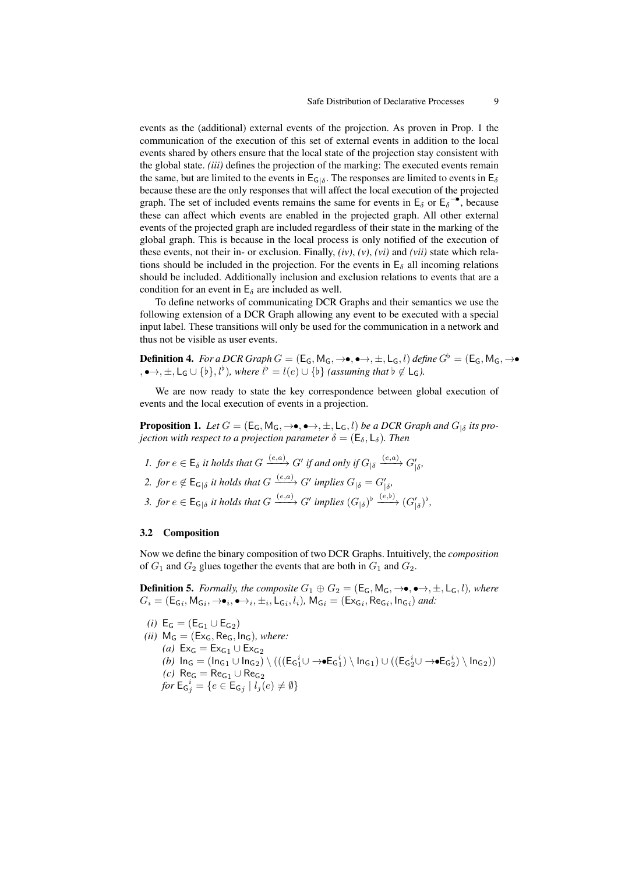events as the (additional) external events of the projection. As proven in Prop. 1 the communication of the execution of this set of external events in addition to the local events shared by others ensure that the local state of the projection stay consistent with the global state. *(iii)* defines the projection of the marking: The executed events remain the same, but are limited to the events in  $E_{G|\delta}$ . The responses are limited to events in  $E_{\delta}$ because these are the only responses that will affect the local execution of the projected graph. The set of included events remains the same for events in  $E_{\delta}$  or  $E_{\delta} \rightarrow$ , because these can affect which events are enabled in the projected graph. All other external events of the projected graph are included regardless of their state in the marking of the global graph. This is because in the local process is only notified of the execution of these events, not their in- or exclusion. Finally, *(iv)*, *(v)*, *(vi)* and *(vii)* state which relations should be included in the projection. For the events in  $E_{\delta}$  all incoming relations should be included. Additionally inclusion and exclusion relations to events that are a condition for an event in  $E_{\delta}$  are included as well.

To define networks of communicating DCR Graphs and their semantics we use the following extension of a DCR Graph allowing any event to be executed with a special input label. These transitions will only be used for the communication in a network and thus not be visible as user events.

**Definition 4.** *For a DCR Graph*  $G = (E_G, M_G, \rightarrow \bullet, \bullet \rightarrow, \pm, L_G, l)$  *define*  $G^{\flat} = (E_G, M_G, \rightarrow \bullet, \bullet \bullet, \pm, L_G, l)$  $\mathbf{I}_1 \bullet \rightarrow \mathbf{I}_2 \rightarrow \mathbf{I}_3 \cup \{\mathbf{b}\}, l^{\mathbf{b}}),$  where  $l^{\mathbf{b}} = l(e) \cup \{\mathbf{b}\}$  (assuming that  $\mathbf{b} \notin \mathsf{L}_\mathsf{G}$ ).

We are now ready to state the key correspondence between global execution of events and the local execution of events in a projection.

**Proposition 1.** Let  $G = (E_G, M_G, \rightarrow \bullet, \bullet \rightarrow, \pm, L_G, l)$  *be a DCR Graph and*  $G_{|\delta}$  *its projection with respect to a projection parameter*  $\delta = (E_{\delta}, L_{\delta})$ *. Then* 

- *1.* for  $e \in \mathsf{E}_{\delta}$  it holds that  $G \xrightarrow{(e,a)} G'$  if and only if  $G_{|\delta} \xrightarrow{(e,a)} G'_{|\delta}$
- 2. for  $e \notin \mathsf{E}_{\mathsf{G} | \delta}$  it holds that  $G \xrightarrow{(e,a)} G'$  implies  $G_{| \delta} = G'_{| \delta}$ ,
- 3. for  $e \in \mathsf{E}_{\mathsf{G}|\delta}$  it holds that  $G \xrightarrow{(e,a)} G'$  implies  $(G_{|\delta})^{\flat} \xrightarrow{(e,\flat)} (G'_{|\delta})^{\flat}$ ,

#### 3.2 Composition

Now we define the binary composition of two DCR Graphs. Intuitively, the *composition* of  $G_1$  and  $G_2$  glues together the events that are both in  $G_1$  and  $G_2$ .

**Definition 5.** *Formally, the composite*  $G_1 \oplus G_2 = (\mathsf{E}_G, \mathsf{M}_G, \rightarrow \bullet, \bullet \rightarrow, \pm, \mathsf{L}_G, l)$ *, where*  $G_i = (\mathsf{E}_{\mathsf{G}_i}, \mathsf{M}_{\mathsf{G}_i}, \rightarrow \bullet_i, \bullet \rightarrow_i, \pm_i, \mathsf{L}_{\mathsf{G}_i}, l_i)$ ,  $\mathsf{M}_{\mathsf{G}_i} = (\mathsf{Ex}_{\mathsf{G}_i}, \mathsf{Re}_{\mathsf{G}_i}, \mathsf{In}_{\mathsf{G}_i})$  and:

 $(i)$  E<sub>G</sub> = (E<sub>G1</sub> ∪ E<sub>G2</sub>)  $(iii)$   $M_G = (Ex_G, Re_G, In_G)$ *, where: (a)* Ex<sub>G</sub> = Ex<sub>G1</sub> ∪ Ex<sub>G2</sub>  $(b)$   $\ln_{\mathsf{G}} = (\ln_{\mathsf{G}{\mathbb{1}}} \cup \ln_{\mathsf{G}{\mathbb{2}}}) \setminus (((\mathsf{E}_{\mathsf{G}{\mathbb{1}}}^i \cup \rightarrow \bullet \mathsf{E}_{\mathsf{G}{\mathbb{1}}}^i) \setminus \ln_{\mathsf{G}{\mathbb{1}}}) \cup ((\mathsf{E}_{\mathsf{G}{\mathbb{2}}}^i \cup \rightarrow \bullet \mathsf{E}_{\mathsf{G}{\mathbb{2}}}^i) \setminus \ln_{\mathsf{G}{\mathbb{2}}}))$  $(c)$  Re<sub>G</sub> = Re<sub>G1</sub> ∪ Re<sub>G2</sub>  $for$   $\mathsf{E}_{{\mathsf{G}}_j}^{\phantom{i}i}=\{e\in\mathsf{E}_{{\mathsf{G}}_j}\mid l_j(e)\neq\emptyset\}$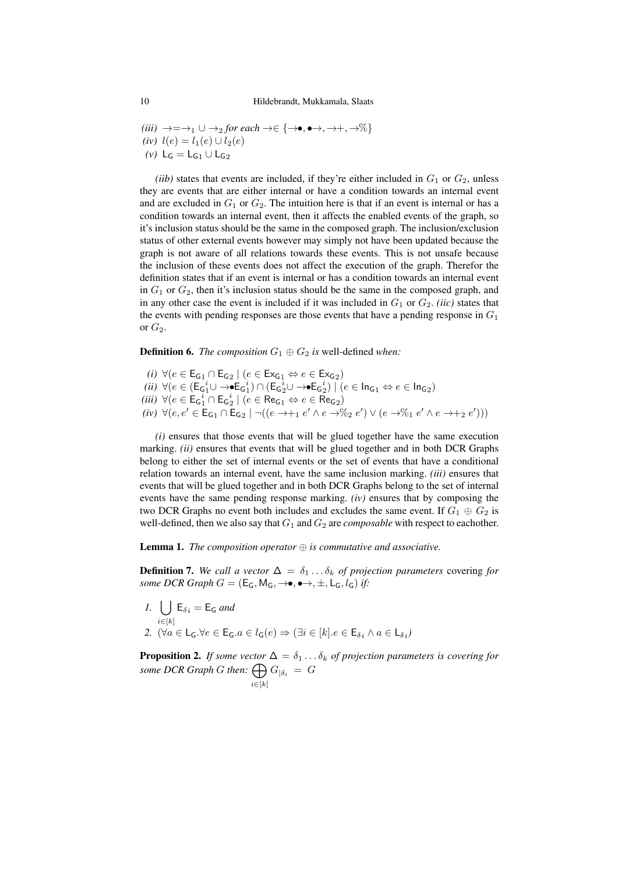$(iii)$   $\rightarrow = \rightarrow_1 \cup \rightarrow_2$  *for each*  $\rightarrow \in \{\rightarrow \bullet, \bullet \rightarrow, \rightarrow +, \rightarrow \% \}$ *(iv)*  $l(e) = l_1(e) ∪ l_2(e)$ *(v)* L<sub>G</sub> = L<sub>G1</sub> ∪ L<sub>G2</sub>

*(iib)* states that events are included, if they're either included in  $G_1$  or  $G_2$ , unless they are events that are either internal or have a condition towards an internal event and are excluded in  $G_1$  or  $G_2$ . The intuition here is that if an event is internal or has a condition towards an internal event, then it affects the enabled events of the graph, so it's inclusion status should be the same in the composed graph. The inclusion/exclusion status of other external events however may simply not have been updated because the graph is not aware of all relations towards these events. This is not unsafe because the inclusion of these events does not affect the execution of the graph. Therefor the definition states that if an event is internal or has a condition towards an internal event in  $G_1$  or  $G_2$ , then it's inclusion status should be the same in the composed graph, and in any other case the event is included if it was included in  $G_1$  or  $G_2$ . *(iic)* states that the events with pending responses are those events that have a pending response in  $G_1$ or  $G_2$ .

**Definition 6.** *The composition*  $G_1 \oplus G_2$  *is* well-defined *when*:

(*i*)  $\forall$ ( $e \in \mathsf{E}_{\mathsf{G1}} \cap \mathsf{E}_{\mathsf{G2}}$  | ( $e \in \mathsf{Ex}_{\mathsf{G1}} \Leftrightarrow e \in \mathsf{Ex}_{\mathsf{G2}}$ )  $(ii) \ \forall (e \in (\mathsf{E} \mathsf{G}^i_1 \cup \rightarrow \bullet \mathsf{E} \mathsf{G}^i_1) \cap (\mathsf{E} \mathsf{G}^i_2 \cup \rightarrow \bullet \mathsf{E} \mathsf{G}^i_2) \mid (e \in \mathsf{In}_{\mathsf{G}1} \Leftrightarrow e \in \mathsf{In}_{\mathsf{G}2})$  $(iii) \ \forall (e \in \mathsf{E}_{\mathsf{G}_1}^i \cap \mathsf{E}_{\mathsf{G}_2}^i \mid (e \in \mathsf{Re}_{\mathsf{G}_1} \Leftrightarrow e \in \mathsf{Re}_{\mathsf{G}_2})$  $(iv) \ \forall (e, e' \in \mathsf{E}_{\mathsf{G1}} \cap \mathsf{E}_{\mathsf{G2}} \mid \neg((e \to +_1 e' \land e \to \%_2 e') \lor (e \to \%_1 e' \land e \to +_2 e')))$ 

*(i)* ensures that those events that will be glued together have the same execution marking. *(ii)* ensures that events that will be glued together and in both DCR Graphs belong to either the set of internal events or the set of events that have a conditional relation towards an internal event, have the same inclusion marking. *(iii)* ensures that events that will be glued together and in both DCR Graphs belong to the set of internal events have the same pending response marking. *(iv)* ensures that by composing the two DCR Graphs no event both includes and excludes the same event. If  $G_1 \oplus G_2$  is well-defined, then we also say that  $G_1$  and  $G_2$  are *composable* with respect to eachother.

Lemma 1. *The composition operator* ⊕ *is commutative and associative.*

**Definition 7.** *We call a vector*  $\Delta = \delta_1 \dots \delta_k$  *of projection parameters covering for some DCR Graph*  $G = (E_G, M_G, \rightarrow \bullet, \bullet \rightarrow, \pm, L_G, l_G)$  *if:* 

*1.*  $\bigcup$   $E_{\delta i} = E_G$  *and*  $i \in [k]$ 2.  $(\forall a \in \mathsf{L}_{\mathsf{G}}.\forall e \in \mathsf{E}_{\mathsf{G}}.a \in l_{\mathsf{G}}(e) \Rightarrow (\exists i \in [k].e \in \mathsf{E}_{\delta_i} \land a \in \mathsf{L}_{\delta_i})$ 

**Proposition 2.** *If some vector*  $\Delta = \delta_1 \dots \delta_k$  *of projection parameters is covering for some DCR Graph G then:*  $\bigoplus$  $i \in [k]$  $G_{|\delta_i} = G$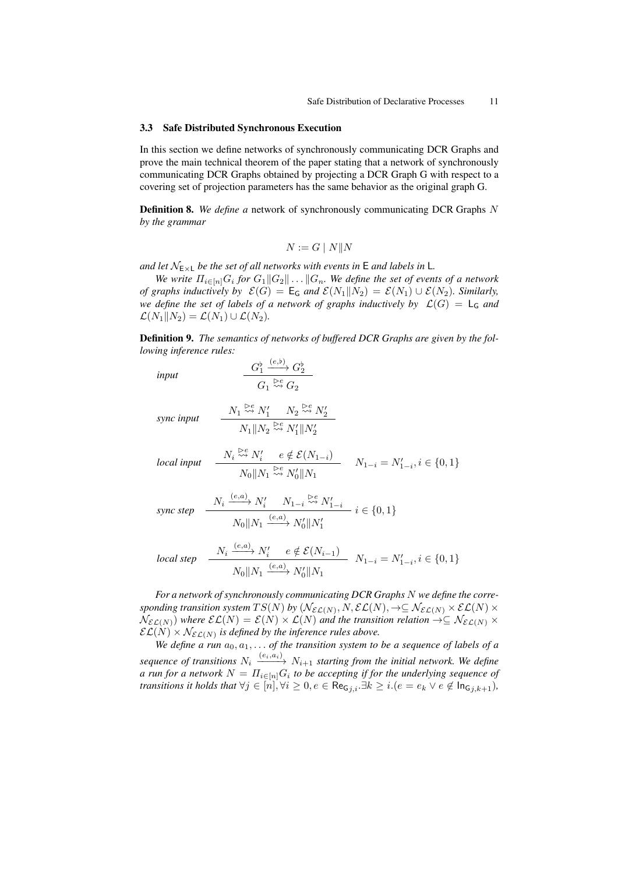#### 3.3 Safe Distributed Synchronous Execution

In this section we define networks of synchronously communicating DCR Graphs and prove the main technical theorem of the paper stating that a network of synchronously communicating DCR Graphs obtained by projecting a DCR Graph G with respect to a covering set of projection parameters has the same behavior as the original graph G.

Definition 8. *We define a* network of synchronously communicating DCR Graphs N *by the grammar*

$$
N := G \mid N \Vert N
$$

*and let*  $N_{E\times L}$  *be the set of all networks with events in* E *and labels in* L.

We write  $\Pi_{i\in[n]}G_i$  for  $G_1||G_2||\ldots||G_n$ . We define the set of events of a network *of graphs inductively by*  $\mathcal{E}(G) = \mathsf{E}_G$  *and*  $\mathcal{E}(N_1||N_2) = \mathcal{E}(N_1) \cup \mathcal{E}(N_2)$ *. Similarly, we define the set of labels of a network of graphs inductively by*  $\mathcal{L}(G) = L_G$  *and*  $\mathcal{L}(N_1||N_2) = \mathcal{L}(N_1) \cup \mathcal{L}(N_2).$ 

Definition 9. *The semantics of networks of buffered DCR Graphs are given by the following inference rules:*  $(a, b)$ 

input  
\n
$$
\frac{G_1^{\flat} \xrightarrow{e, e_j} G_2^{\flat}}{G_1 \overset{\triangleright e} \otimes G_2}
$$
\nsync input  
\n
$$
\frac{N_1 \overset{\triangleright e} \otimes N_1'}{N_1 || N_2 \overset{\triangleright e} \otimes N_1' || N_2'} \times \frac{N_2 \overset{\triangleright e} \otimes N_2'}{N_1 || N_2}
$$
\nlocal input  
\n
$$
\frac{N_i \overset{\triangleright e} \otimes N_i'}{N_0 || N_1 \overset{\triangleright e} \otimes N_0' || N_1} \qquad N_{1-i} = N_{1-i}', i \in \{0, 1\}
$$
\nsync step  
\n
$$
\frac{N_i \xrightarrow{(e, a)} N_i' \quad N_{1-i} \overset{\triangleright e} \otimes N_{1-i}'}{N_0 || N_1 \xrightarrow{(e, a)} N_0' || N_1'} i \in \{0, 1\}
$$
\nlocal step  
\nlocal step  
\n
$$
\frac{N_i \xrightarrow{(e, a)} N_i'}{N_0}
$$
\n
$$
\frac{N_i \xrightarrow{(e, a)} N_i'}{N_0}
$$
\n
$$
\frac{P_i \xrightarrow{(e, a)} N_i}{P_i} = P_i \quad N_{1-i} = N_{1-i}', i \in \{0, 1\}
$$

$$
N_0 \| N_1 \xrightarrow{(e,a)} N'_0 \| N_1
$$
  
For a network of synchronously communicating DCR Graphs N we define the corresponding transition system  $TS(N)$  by  $(N_{\mathcal{EL}(N)}, N, \mathcal{EL}(N), \rightarrow \subseteq N_{\mathcal{EL}(N)} \times \mathcal{EL}(N) \times$   
 $N_{\mathcal{EL}(N)}$  where  $\mathcal{EL}(N) = \mathcal{E}(N) \times \mathcal{L}(N)$  and the transition relation  $\rightarrow \subseteq N_{\mathcal{EL}(N)} \times$ 

 $\mathcal{N}_{\mathcal{EL}(N)}$ ) where  $\mathcal{EL}(N)=\mathcal{E}(N)\times\mathcal{L}(N)$  and the transition relation  $\to\subseteq\mathcal{N}_{\mathcal{EL}(N)}\times$  $\mathcal{EL}(N)\times\mathcal{N}_{\mathcal{EL}(N)}$  is defined by the inference rules above.

*We define a run*  $a_0, a_1, \ldots$  *of the transition system to be a sequence of labels of a* sequence of transitions  $N_i \xrightarrow{(e_i, a_i)} N_{i+1}$  starting from the initial network. We define *a run for a network*  $N = \prod_{i \in [n]} G_i$  to be accepting if for the underlying sequence of *transitions it holds that*  $\forall j \in [n], \forall i \geq 0, e \in \text{Re}_{\mathsf{G}_{i,i}} \exists k \geq i.(e = e_k \vee e \notin \text{Im}_{\mathsf{G}_{i,k+1}})$ ,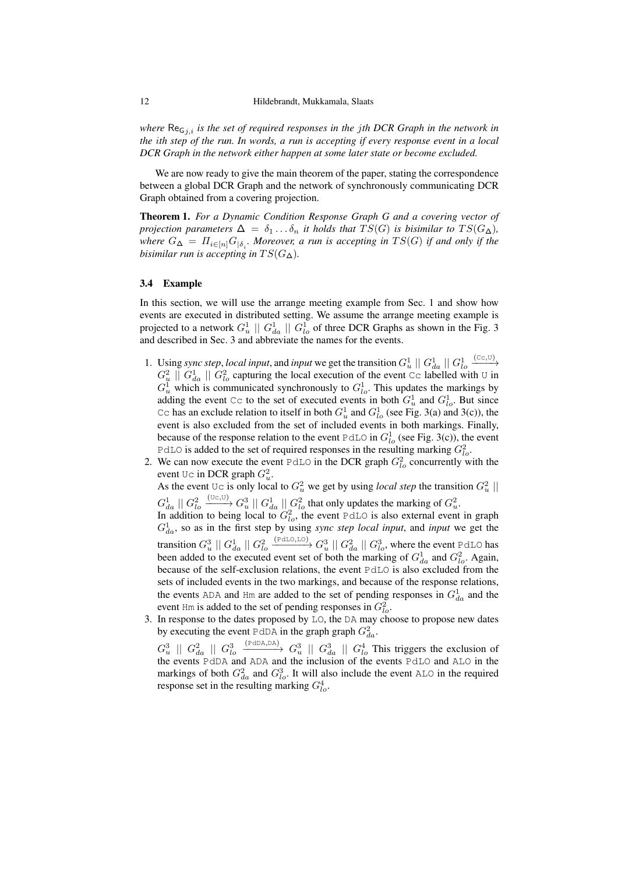*where* ReGj,i *is the set of required responses in the* j*th DCR Graph in the network in the* i*th step of the run. In words, a run is accepting if every response event in a local DCR Graph in the network either happen at some later state or become excluded.*

We are now ready to give the main theorem of the paper, stating the correspondence between a global DCR Graph and the network of synchronously communicating DCR Graph obtained from a covering projection.

Theorem 1. *For a Dynamic Condition Response Graph G and a covering vector of projection parameters*  $\Delta = \delta_1 \dots \delta_n$  *it holds that*  $TS(G)$  *is bisimilar to*  $TS(G_{\Delta})$ *,* where  $G_{\Delta} = \prod_{i \in [n]} G_{\vert \delta_i}$ . Moreover, a run is accepting in  $TS(G)$  if and only if the *bisimilar run is accepting in*  $TS(G_\Delta)$ *.* 

#### 3.4 Example

In this section, we will use the arrange meeting example from Sec. 1 and show how events are executed in distributed setting. We assume the arrange meeting example is projected to a network  $G_u^1 \parallel G_{da}^1 \parallel G_{lo}^1$  of three DCR Graphs as shown in the Fig. 3 and described in Sec. 3 and abbreviate the names for the events.

- 1. Using *sync step*, *local input*, and *input* we get the transition  $G_u^1 \parallel G_{da}^1 \parallel G_{la}^1$  $\xrightarrow{(\text{CcU})}$  $G_u^2 \parallel G_{da}^1 \parallel G_{lo}^2$  capturing the local execution of the event Cc labelled with U in  $G_u^1$  which is communicated synchronously to  $G_{l_o}^1$ . This updates the markings by adding the event Cc to the set of executed events in both  $G_u^1$  and  $G_{lo}^1$ . But since Cc has an exclude relation to itself in both  $G_u^1$  and  $G_{lo}^1$  (see Fig. 3(a) and 3(c)), the event is also excluded from the set of included events in both markings. Finally, because of the response relation to the event PdLO in  $G_{l_o}^1$  (see Fig. 3(c)), the event PdLO is added to the set of required responses in the resulting marking  $G_{lo}^2$ .
- 2. We can now execute the event  $PdLO$  in the DCR graph  $G<sub>lo</sub><sup>2</sup>$  concurrently with the event Uc in DCR graph  $G_u^2$ .

As the event Uc is only local to  $G_u^2$  we get by using *local step* the transition  $G_u^2$  ||  $\xrightarrow{(U\subset, U)} G^3_u \parallel G^1_{da} \parallel G^2_{lo}$  that only updates the marking of  $G^2_u$ .

 $G_{da}^1 \parallel G_{lo}^2$ In addition to being local to  $G_{lo}^2$ , the event PdLO is also external event in graph  $G_{da}^1$ , so as in the first step by using *sync step local input*, and *input* we get the transition  $G_u^3\mid\mid G_{da}^1\mid\mid G_{lo}^2$  $\xrightarrow{(\texttt{PdLO},\texttt{LO})} G_u^3 \mid\mid G_{da}^2 \mid\mid G_b^3$ , where the event PdLO has been added to the executed event set of both the marking of  $G_{da}^1$  and  $G_{lo}^2$ . Again, because of the self-exclusion relations, the event PdLO is also excluded from the sets of included events in the two markings, and because of the response relations, the events ADA and Hm are added to the set of pending responses in  $G_{da}^1$  and the event Hm is added to the set of pending responses in  $G_{lo}^2$ .

3. In response to the dates proposed by LO, the DA may choose to propose new dates by executing the event PdDA in the graph graph  $G_{da}^2$ .

 $G^3_u \,\parallel \, G^2_{da} \,\parallel \, G^3_{lo}$  $\xrightarrow{(\text{PdDA},\text{DA})} G_u^3 \parallel G_{da}^3 \parallel G_{lo}^4$  This triggers the exclusion of the events PdDA and ADA and the inclusion of the events PdLO and ALO in the markings of both  $G_{da}^2$  and  $G_{lo}^3$ . It will also include the event ALO in the required response set in the resulting marking  $G_{l_o}^4$ .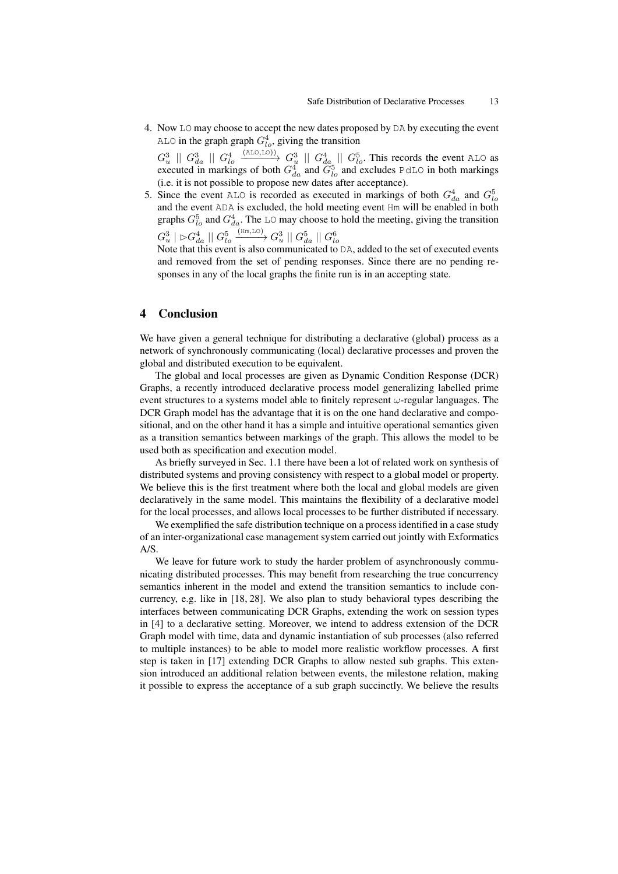4. Now LO may choose to accept the new dates proposed by DA by executing the event ALO in the graph graph  $G_{lo}^4$ , giving the transition

 $G^3_u \,\parallel \, G^3_{da} \,\parallel \, G^4_{lo}$  $\xrightarrow{\text{(ALO,LO))}} G_u^3 \parallel G_{da}^4 \parallel G_{lo}^5$ . This records the event ALO as executed in markings of both  $G_{da}^4$  and  $G_{lo}^5$  and excludes PdLO in both markings (i.e. it is not possible to propose new dates after acceptance).

5. Since the event ALO is recorded as executed in markings of both  $G_{da}^4$  and  $G_{lo}^5$ and the event ADA is excluded, the hold meeting event Hm will be enabled in both graphs  $G_{l_o}^5$  and  $G_{d_a}^4$ . The LO may choose to hold the meeting, giving the transition  $G_u^3 \mid \rhd G_{da}^4 \mid \mid G_{lo}^5$  $G_u^3 \mid \bigcirc G_{da}^4 \mid \mid G_{lo}^5 \xrightarrow{(\text{Hm,LO})} G_u^3 \mid \mid G_{da}^5 \mid \mid G_{lo}^6$ <br>Note that this event is also communicated to DA, added to the set of executed events

and removed from the set of pending responses. Since there are no pending responses in any of the local graphs the finite run is in an accepting state.

## 4 Conclusion

We have given a general technique for distributing a declarative (global) process as a network of synchronously communicating (local) declarative processes and proven the global and distributed execution to be equivalent.

The global and local processes are given as Dynamic Condition Response (DCR) Graphs, a recently introduced declarative process model generalizing labelled prime event structures to a systems model able to finitely represent  $\omega$ -regular languages. The DCR Graph model has the advantage that it is on the one hand declarative and compositional, and on the other hand it has a simple and intuitive operational semantics given as a transition semantics between markings of the graph. This allows the model to be used both as specification and execution model.

As briefly surveyed in Sec. 1.1 there have been a lot of related work on synthesis of distributed systems and proving consistency with respect to a global model or property. We believe this is the first treatment where both the local and global models are given declaratively in the same model. This maintains the flexibility of a declarative model for the local processes, and allows local processes to be further distributed if necessary.

We exemplified the safe distribution technique on a process identified in a case study of an inter-organizational case management system carried out jointly with Exformatics A/S.

We leave for future work to study the harder problem of asynchronously communicating distributed processes. This may benefit from researching the true concurrency semantics inherent in the model and extend the transition semantics to include concurrency, e.g. like in [18, 28]. We also plan to study behavioral types describing the interfaces between communicating DCR Graphs, extending the work on session types in [4] to a declarative setting. Moreover, we intend to address extension of the DCR Graph model with time, data and dynamic instantiation of sub processes (also referred to multiple instances) to be able to model more realistic workflow processes. A first step is taken in [17] extending DCR Graphs to allow nested sub graphs. This extension introduced an additional relation between events, the milestone relation, making it possible to express the acceptance of a sub graph succinctly. We believe the results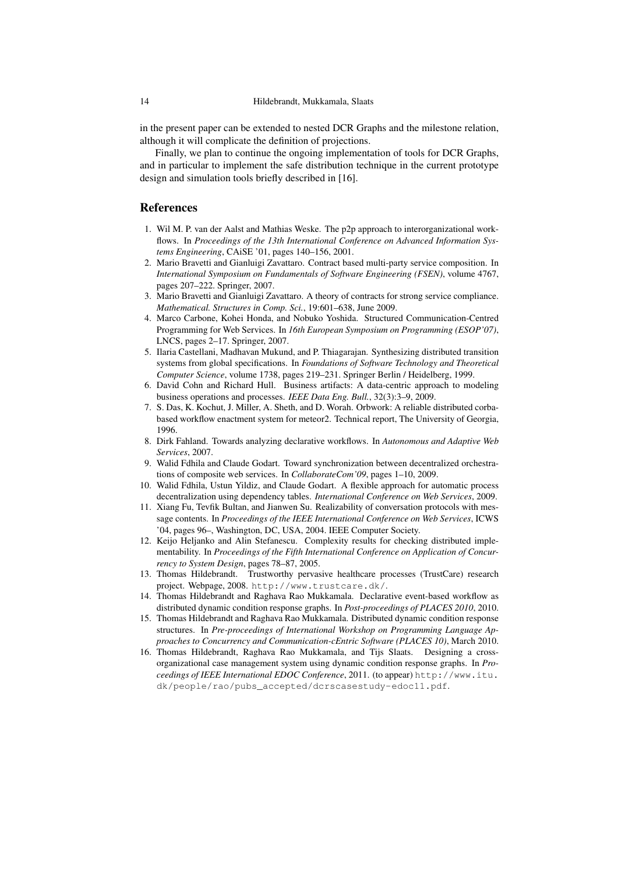in the present paper can be extended to nested DCR Graphs and the milestone relation, although it will complicate the definition of projections.

Finally, we plan to continue the ongoing implementation of tools for DCR Graphs, and in particular to implement the safe distribution technique in the current prototype design and simulation tools briefly described in [16].

### References

- 1. Wil M. P. van der Aalst and Mathias Weske. The p2p approach to interorganizational workflows. In *Proceedings of the 13th International Conference on Advanced Information Systems Engineering*, CAiSE '01, pages 140–156, 2001.
- 2. Mario Bravetti and Gianluigi Zavattaro. Contract based multi-party service composition. In *International Symposium on Fundamentals of Software Engineering (FSEN)*, volume 4767, pages 207–222. Springer, 2007.
- 3. Mario Bravetti and Gianluigi Zavattaro. A theory of contracts for strong service compliance. *Mathematical. Structures in Comp. Sci.*, 19:601–638, June 2009.
- 4. Marco Carbone, Kohei Honda, and Nobuko Yoshida. Structured Communication-Centred Programming for Web Services. In *16th European Symposium on Programming (ESOP'07)*, LNCS, pages 2–17. Springer, 2007.
- 5. Ilaria Castellani, Madhavan Mukund, and P. Thiagarajan. Synthesizing distributed transition systems from global specifications. In *Foundations of Software Technology and Theoretical Computer Science*, volume 1738, pages 219–231. Springer Berlin / Heidelberg, 1999.
- 6. David Cohn and Richard Hull. Business artifacts: A data-centric approach to modeling business operations and processes. *IEEE Data Eng. Bull.*, 32(3):3–9, 2009.
- 7. S. Das, K. Kochut, J. Miller, A. Sheth, and D. Worah. Orbwork: A reliable distributed corbabased workflow enactment system for meteor2. Technical report, The University of Georgia, 1996.
- 8. Dirk Fahland. Towards analyzing declarative workflows. In *Autonomous and Adaptive Web Services*, 2007.
- 9. Walid Fdhila and Claude Godart. Toward synchronization between decentralized orchestrations of composite web services. In *CollaborateCom'09*, pages 1–10, 2009.
- 10. Walid Fdhila, Ustun Yildiz, and Claude Godart. A flexible approach for automatic process decentralization using dependency tables. *International Conference on Web Services*, 2009.
- 11. Xiang Fu, Tevfik Bultan, and Jianwen Su. Realizability of conversation protocols with message contents. In *Proceedings of the IEEE International Conference on Web Services*, ICWS '04, pages 96–, Washington, DC, USA, 2004. IEEE Computer Society.
- 12. Keijo Heljanko and Alin Stefanescu. Complexity results for checking distributed implementability. In *Proceedings of the Fifth International Conference on Application of Concurrency to System Design*, pages 78–87, 2005.
- 13. Thomas Hildebrandt. Trustworthy pervasive healthcare processes (TrustCare) research project. Webpage, 2008. http://www.trustcare.dk/.
- 14. Thomas Hildebrandt and Raghava Rao Mukkamala. Declarative event-based workflow as distributed dynamic condition response graphs. In *Post-proceedings of PLACES 2010*, 2010.
- 15. Thomas Hildebrandt and Raghava Rao Mukkamala. Distributed dynamic condition response structures. In *Pre-proceedings of International Workshop on Programming Language Approaches to Concurrency and Communication-cEntric Software (PLACES 10)*, March 2010.
- 16. Thomas Hildebrandt, Raghava Rao Mukkamala, and Tijs Slaats. Designing a crossorganizational case management system using dynamic condition response graphs. In *Proceedings of IEEE International EDOC Conference*, 2011. (to appear) http://www.itu. dk/people/rao/pubs\_accepted/dcrscasestudy-edoc11.pdf.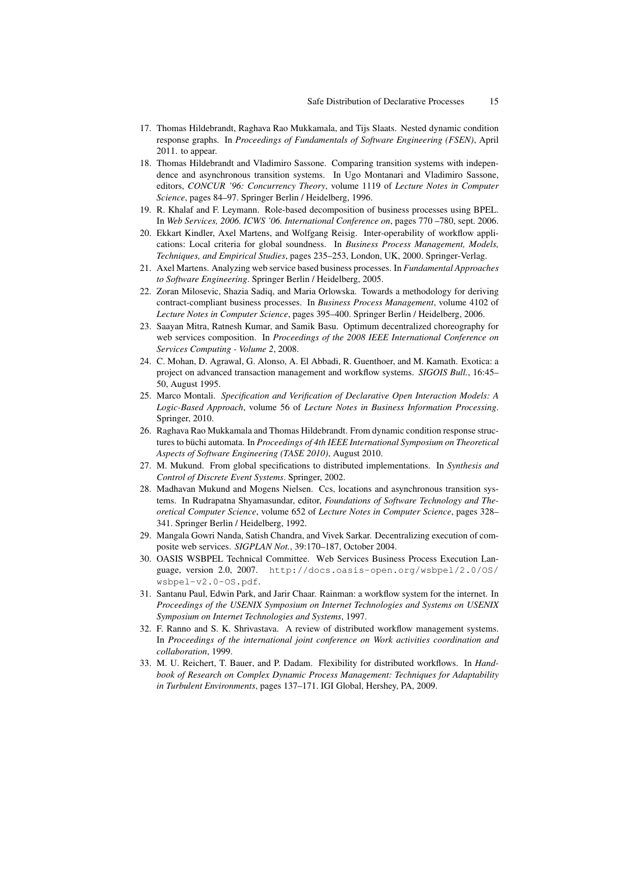- 17. Thomas Hildebrandt, Raghava Rao Mukkamala, and Tijs Slaats. Nested dynamic condition response graphs. In *Proceedings of Fundamentals of Software Engineering (FSEN)*, April 2011. to appear.
- 18. Thomas Hildebrandt and Vladimiro Sassone. Comparing transition systems with independence and asynchronous transition systems. In Ugo Montanari and Vladimiro Sassone, editors, *CONCUR '96: Concurrency Theory*, volume 1119 of *Lecture Notes in Computer Science*, pages 84–97. Springer Berlin / Heidelberg, 1996.
- 19. R. Khalaf and F. Leymann. Role-based decomposition of business processes using BPEL. In *Web Services, 2006. ICWS '06. International Conference on*, pages 770 –780, sept. 2006.
- 20. Ekkart Kindler, Axel Martens, and Wolfgang Reisig. Inter-operability of workflow applications: Local criteria for global soundness. In *Business Process Management, Models, Techniques, and Empirical Studies*, pages 235–253, London, UK, 2000. Springer-Verlag.
- 21. Axel Martens. Analyzing web service based business processes. In *Fundamental Approaches to Software Engineering*. Springer Berlin / Heidelberg, 2005.
- 22. Zoran Milosevic, Shazia Sadiq, and Maria Orlowska. Towards a methodology for deriving contract-compliant business processes. In *Business Process Management*, volume 4102 of *Lecture Notes in Computer Science*, pages 395–400. Springer Berlin / Heidelberg, 2006.
- 23. Saayan Mitra, Ratnesh Kumar, and Samik Basu. Optimum decentralized choreography for web services composition. In *Proceedings of the 2008 IEEE International Conference on Services Computing - Volume 2*, 2008.
- 24. C. Mohan, D. Agrawal, G. Alonso, A. El Abbadi, R. Guenthoer, and M. Kamath. Exotica: a project on advanced transaction management and workflow systems. *SIGOIS Bull.*, 16:45– 50, August 1995.
- 25. Marco Montali. *Specification and Verification of Declarative Open Interaction Models: A Logic-Based Approach*, volume 56 of *Lecture Notes in Business Information Processing*. Springer, 2010.
- 26. Raghava Rao Mukkamala and Thomas Hildebrandt. From dynamic condition response structures to büchi automata. In Proceedings of 4th IEEE International Symposium on Theoretical *Aspects of Software Engineering (TASE 2010)*, August 2010.
- 27. M. Mukund. From global specifications to distributed implementations. In *Synthesis and Control of Discrete Event Systems*. Springer, 2002.
- 28. Madhavan Mukund and Mogens Nielsen. Ccs, locations and asynchronous transition systems. In Rudrapatna Shyamasundar, editor, *Foundations of Software Technology and Theoretical Computer Science*, volume 652 of *Lecture Notes in Computer Science*, pages 328– 341. Springer Berlin / Heidelberg, 1992.
- 29. Mangala Gowri Nanda, Satish Chandra, and Vivek Sarkar. Decentralizing execution of composite web services. *SIGPLAN Not.*, 39:170–187, October 2004.
- 30. OASIS WSBPEL Technical Committee. Web Services Business Process Execution Language, version 2.0, 2007. http://docs.oasis-open.org/wsbpel/2.0/OS/ wsbpel-v2.0-OS.pdf.
- 31. Santanu Paul, Edwin Park, and Jarir Chaar. Rainman: a workflow system for the internet. In *Proceedings of the USENIX Symposium on Internet Technologies and Systems on USENIX Symposium on Internet Technologies and Systems*, 1997.
- 32. F. Ranno and S. K. Shrivastava. A review of distributed workflow management systems. In *Proceedings of the international joint conference on Work activities coordination and collaboration*, 1999.
- 33. M. U. Reichert, T. Bauer, and P. Dadam. Flexibility for distributed workflows. In *Handbook of Research on Complex Dynamic Process Management: Techniques for Adaptability in Turbulent Environments*, pages 137–171. IGI Global, Hershey, PA, 2009.